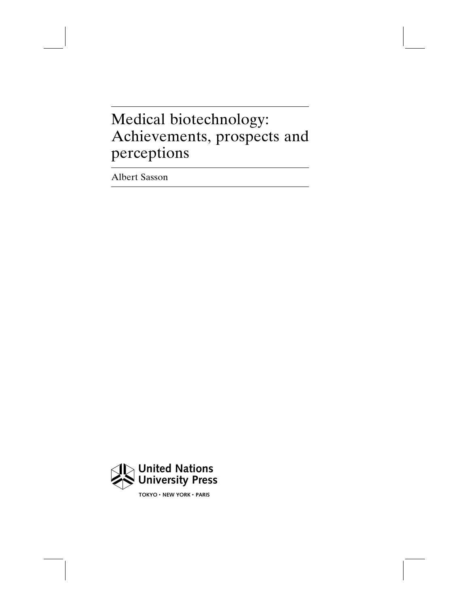## Medical biotechnology: Achievements, prospects and perceptions

Albert Sasson



 $TOKYO \cdot NEW YORK \cdot PARIS$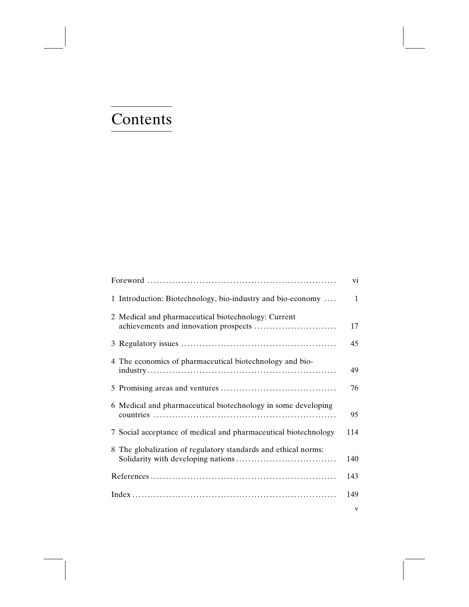# Contents

|                                                                 | vi           |
|-----------------------------------------------------------------|--------------|
| 1 Introduction: Biotechnology, bio-industry and bio-economy     | 1            |
| 2 Medical and pharmaceutical biotechnology: Current             | 17           |
|                                                                 | 45           |
| 4 The economics of pharmaceutical biotechnology and bio-        | 49           |
|                                                                 | 76           |
| 6 Medical and pharmaceutical biotechnology in some developing   | 95           |
| 7 Social acceptance of medical and pharmaceutical biotechnology | 114          |
| 8 The globalization of regulatory standards and ethical norms:  | 140          |
|                                                                 | 143          |
|                                                                 | 149          |
|                                                                 | $\mathbf{V}$ |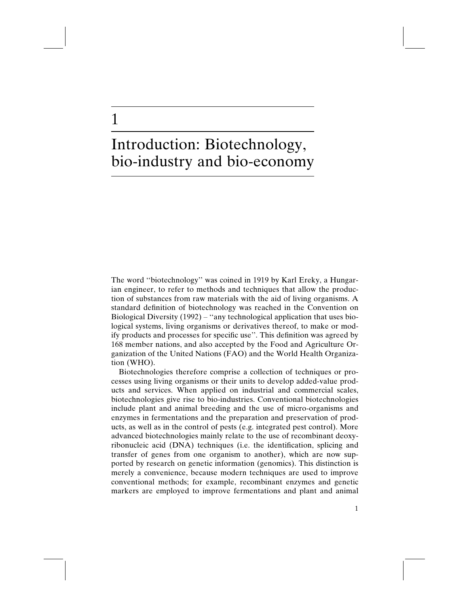### Introduction: Biotechnology, bio-industry and bio-economy

1

The word ''biotechnology'' was coined in 1919 by Karl Ereky, a Hungarian engineer, to refer to methods and techniques that allow the production of substances from raw materials with the aid of living organisms. A standard definition of biotechnology was reached in the Convention on Biological Diversity  $(1992)$  – "any technological application that uses biological systems, living organisms or derivatives thereof, to make or modify products and processes for specific use''. This definition was agreed by 168 member nations, and also accepted by the Food and Agriculture Organization of the United Nations (FAO) and the World Health Organization (WHO).

Biotechnologies therefore comprise a collection of techniques or processes using living organisms or their units to develop added-value products and services. When applied on industrial and commercial scales, biotechnologies give rise to bio-industries. Conventional biotechnologies include plant and animal breeding and the use of micro-organisms and enzymes in fermentations and the preparation and preservation of products, as well as in the control of pests (e.g. integrated pest control). More advanced biotechnologies mainly relate to the use of recombinant deoxyribonucleic acid (DNA) techniques (i.e. the identification, splicing and transfer of genes from one organism to another), which are now supported by research on genetic information (genomics). This distinction is merely a convenience, because modern techniques are used to improve conventional methods; for example, recombinant enzymes and genetic markers are employed to improve fermentations and plant and animal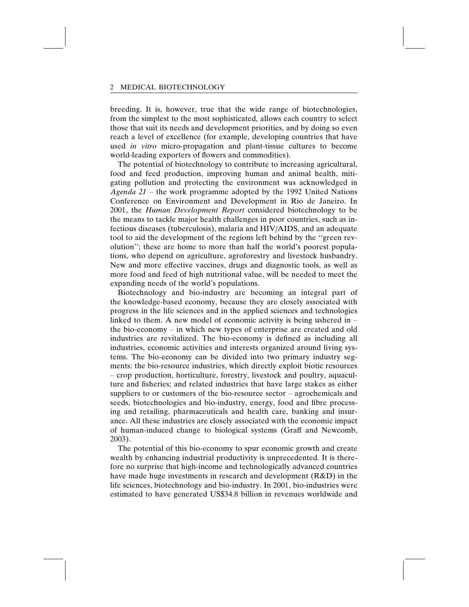breeding. It is, however, true that the wide range of biotechnologies, from the simplest to the most sophisticated, allows each country to select those that suit its needs and development priorities, and by doing so even reach a level of excellence (for example, developing countries that have used in vitro micro-propagation and plant-tissue cultures to become world-leading exporters of flowers and commodities).

The potential of biotechnology to contribute to increasing agricultural, food and feed production, improving human and animal health, mitigating pollution and protecting the environment was acknowledged in Agenda  $21$  – the work programme adopted by the 1992 United Nations Conference on Environment and Development in Rio de Janeiro. In 2001, the Human Development Report considered biotechnology to be the means to tackle major health challenges in poor countries, such as infectious diseases (tuberculosis), malaria and HIV/AIDS, and an adequate tool to aid the development of the regions left behind by the ''green revolution''; these are home to more than half the world's poorest populations, who depend on agriculture, agroforestry and livestock husbandry. New and more effective vaccines, drugs and diagnostic tools, as well as more food and feed of high nutritional value, will be needed to meet the expanding needs of the world's populations.

Biotechnology and bio-industry are becoming an integral part of the knowledge-based economy, because they are closely associated with progress in the life sciences and in the applied sciences and technologies linked to them. A new model of economic activity is being ushered in – the bio-economy – in which new types of enterprise are created and old industries are revitalized. The bio-economy is defined as including all industries, economic activities and interests organized around living systems. The bio-economy can be divided into two primary industry segments: the bio-resource industries, which directly exploit biotic resources – crop production, horticulture, forestry, livestock and poultry, aquaculture and fisheries; and related industries that have large stakes as either suppliers to or customers of the bio-resource sector – agrochemicals and seeds, biotechnologies and bio-industry, energy, food and fibre processing and retailing, pharmaceuticals and health care, banking and insurance. All these industries are closely associated with the economic impact of human-induced change to biological systems (Graff and Newcomb, 2003).

The potential of this bio-economy to spur economic growth and create wealth by enhancing industrial productivity is unprecedented. It is therefore no surprise that high-income and technologically advanced countries have made huge investments in research and development (R&D) in the life sciences, biotechnology and bio-industry. In 2001, bio-industries were estimated to have generated US\$34.8 billion in revenues worldwide and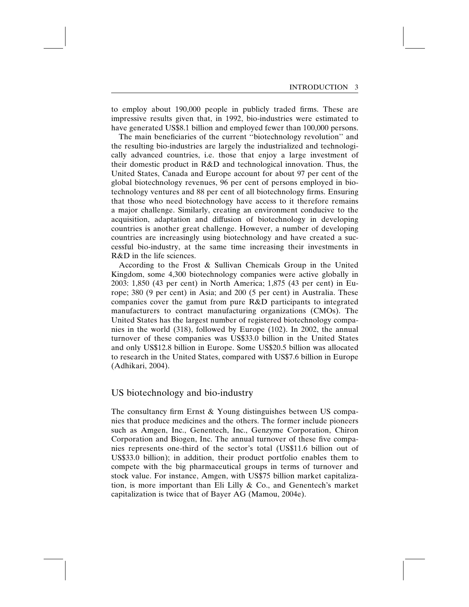to employ about 190,000 people in publicly traded firms. These are impressive results given that, in 1992, bio-industries were estimated to have generated US\$8.1 billion and employed fewer than 100,000 persons.

The main beneficiaries of the current ''biotechnology revolution'' and the resulting bio-industries are largely the industrialized and technologically advanced countries, i.e. those that enjoy a large investment of their domestic product in R&D and technological innovation. Thus, the United States, Canada and Europe account for about 97 per cent of the global biotechnology revenues, 96 per cent of persons employed in biotechnology ventures and 88 per cent of all biotechnology firms. Ensuring that those who need biotechnology have access to it therefore remains a major challenge. Similarly, creating an environment conducive to the acquisition, adaptation and diffusion of biotechnology in developing countries is another great challenge. However, a number of developing countries are increasingly using biotechnology and have created a successful bio-industry, at the same time increasing their investments in R&D in the life sciences.

According to the Frost & Sullivan Chemicals Group in the United Kingdom, some 4,300 biotechnology companies were active globally in 2003: 1,850 (43 per cent) in North America; 1,875 (43 per cent) in Europe; 380 (9 per cent) in Asia; and 200 (5 per cent) in Australia. These companies cover the gamut from pure R&D participants to integrated manufacturers to contract manufacturing organizations (CMOs). The United States has the largest number of registered biotechnology companies in the world (318), followed by Europe (102). In 2002, the annual turnover of these companies was US\$33.0 billion in the United States and only US\$12.8 billion in Europe. Some US\$20.5 billion was allocated to research in the United States, compared with US\$7.6 billion in Europe (Adhikari, 2004).

#### US biotechnology and bio-industry

The consultancy firm Ernst & Young distinguishes between US companies that produce medicines and the others. The former include pioneers such as Amgen, Inc., Genentech, Inc., Genzyme Corporation, Chiron Corporation and Biogen, Inc. The annual turnover of these five companies represents one-third of the sector's total (US\$11.6 billion out of US\$33.0 billion); in addition, their product portfolio enables them to compete with the big pharmaceutical groups in terms of turnover and stock value. For instance, Amgen, with US\$75 billion market capitalization, is more important than Eli Lilly & Co., and Genentech's market capitalization is twice that of Bayer AG (Mamou, 2004e).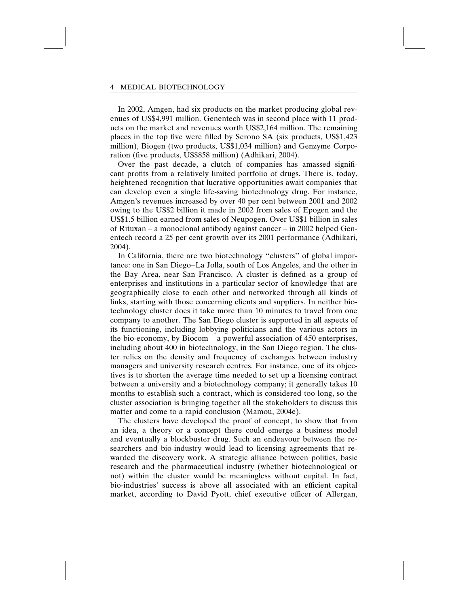In 2002, Amgen, had six products on the market producing global revenues of US\$4,991 million. Genentech was in second place with 11 products on the market and revenues worth US\$2,164 million. The remaining places in the top five were filled by Serono SA (six products, US\$1,423 million), Biogen (two products, US\$1,034 million) and Genzyme Corporation (five products, US\$858 million) (Adhikari, 2004).

Over the past decade, a clutch of companies has amassed significant profits from a relatively limited portfolio of drugs. There is, today, heightened recognition that lucrative opportunities await companies that can develop even a single life-saving biotechnology drug. For instance, Amgen's revenues increased by over 40 per cent between 2001 and 2002 owing to the US\$2 billion it made in 2002 from sales of Epogen and the US\$1.5 billion earned from sales of Neupogen. Over US\$1 billion in sales of Rituxan – a monoclonal antibody against cancer – in 2002 helped Genentech record a 25 per cent growth over its 2001 performance (Adhikari, 2004).

In California, there are two biotechnology ''clusters'' of global importance: one in San Diego–La Jolla, south of Los Angeles, and the other in the Bay Area, near San Francisco. A cluster is defined as a group of enterprises and institutions in a particular sector of knowledge that are geographically close to each other and networked through all kinds of links, starting with those concerning clients and suppliers. In neither biotechnology cluster does it take more than 10 minutes to travel from one company to another. The San Diego cluster is supported in all aspects of its functioning, including lobbying politicians and the various actors in the bio-economy, by Biocom – a powerful association of 450 enterprises, including about 400 in biotechnology, in the San Diego region. The cluster relies on the density and frequency of exchanges between industry managers and university research centres. For instance, one of its objectives is to shorten the average time needed to set up a licensing contract between a university and a biotechnology company; it generally takes 10 months to establish such a contract, which is considered too long, so the cluster association is bringing together all the stakeholders to discuss this matter and come to a rapid conclusion (Mamou, 2004e).

The clusters have developed the proof of concept, to show that from an idea, a theory or a concept there could emerge a business model and eventually a blockbuster drug. Such an endeavour between the researchers and bio-industry would lead to licensing agreements that rewarded the discovery work. A strategic alliance between politics, basic research and the pharmaceutical industry (whether biotechnological or not) within the cluster would be meaningless without capital. In fact, bio-industries' success is above all associated with an efficient capital market, according to David Pyott, chief executive officer of Allergan,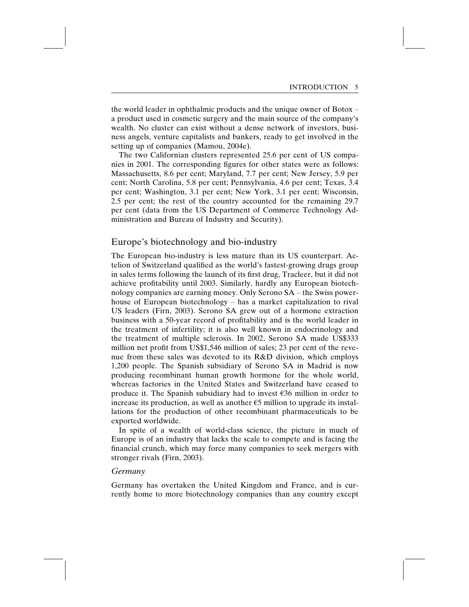the world leader in ophthalmic products and the unique owner of Botox – a product used in cosmetic surgery and the main source of the company's wealth. No cluster can exist without a dense network of investors, business angels, venture capitalists and bankers, ready to get involved in the setting up of companies (Mamou, 2004e).

The two Californian clusters represented 25.6 per cent of US companies in 2001. The corresponding figures for other states were as follows: Massachusetts, 8.6 per cent; Maryland, 7.7 per cent; New Jersey, 5.9 per cent; North Carolina, 5.8 per cent; Pennsylvania, 4.6 per cent; Texas, 3.4 per cent; Washington, 3.1 per cent; New York, 3.1 per cent; Wisconsin, 2.5 per cent; the rest of the country accounted for the remaining 29.7 per cent (data from the US Department of Commerce Technology Administration and Bureau of Industry and Security).

#### Europe's biotechnology and bio-industry

The European bio-industry is less mature than its US counterpart. Actelion of Switzerland qualified as the world's fastest-growing drugs group in sales terms following the launch of its first drug, Tracleer, but it did not achieve profitability until 2003. Similarly, hardly any European biotechnology companies are earning money. Only Serono SA – the Swiss powerhouse of European biotechnology – has a market capitalization to rival US leaders (Firn, 2003). Serono SA grew out of a hormone extraction business with a 50-year record of profitability and is the world leader in the treatment of infertility; it is also well known in endocrinology and the treatment of multiple sclerosis. In 2002, Serono SA made US\$333 million net profit from US\$1,546 million of sales; 23 per cent of the revenue from these sales was devoted to its R&D division, which employs 1,200 people. The Spanish subsidiary of Serono SA in Madrid is now producing recombinant human growth hormone for the whole world, whereas factories in the United States and Switzerland have ceased to produce it. The Spanish subsidiary had to invest  $\epsilon$ 36 million in order to increase its production, as well as another  $\epsilon$ 5 million to upgrade its installations for the production of other recombinant pharmaceuticals to be exported worldwide.

In spite of a wealth of world-class science, the picture in much of Europe is of an industry that lacks the scale to compete and is facing the financial crunch, which may force many companies to seek mergers with stronger rivals (Firn, 2003).

#### Germany

Germany has overtaken the United Kingdom and France, and is currently home to more biotechnology companies than any country except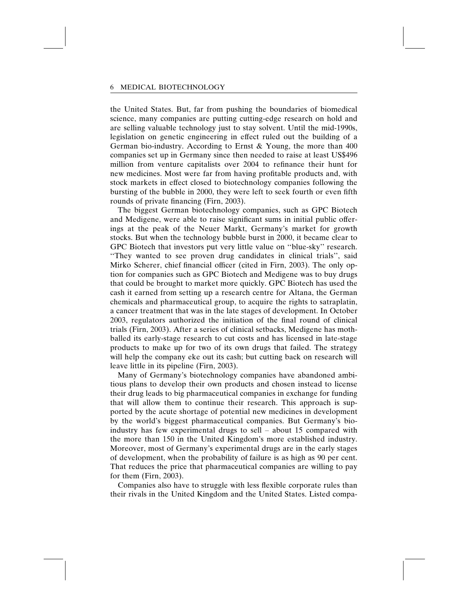the United States. But, far from pushing the boundaries of biomedical science, many companies are putting cutting-edge research on hold and are selling valuable technology just to stay solvent. Until the mid-1990s, legislation on genetic engineering in effect ruled out the building of a German bio-industry. According to Ernst & Young, the more than 400 companies set up in Germany since then needed to raise at least US\$496 million from venture capitalists over 2004 to refinance their hunt for new medicines. Most were far from having profitable products and, with stock markets in effect closed to biotechnology companies following the bursting of the bubble in 2000, they were left to seek fourth or even fifth rounds of private financing (Firn, 2003).

The biggest German biotechnology companies, such as GPC Biotech and Medigene, were able to raise significant sums in initial public offerings at the peak of the Neuer Markt, Germany's market for growth stocks. But when the technology bubble burst in 2000, it became clear to GPC Biotech that investors put very little value on ''blue-sky'' research. ''They wanted to see proven drug candidates in clinical trials'', said Mirko Scherer, chief financial officer (cited in Firn, 2003). The only option for companies such as GPC Biotech and Medigene was to buy drugs that could be brought to market more quickly. GPC Biotech has used the cash it earned from setting up a research centre for Altana, the German chemicals and pharmaceutical group, to acquire the rights to satraplatin, a cancer treatment that was in the late stages of development. In October 2003, regulators authorized the initiation of the final round of clinical trials (Firn, 2003). After a series of clinical setbacks, Medigene has mothballed its early-stage research to cut costs and has licensed in late-stage products to make up for two of its own drugs that failed. The strategy will help the company eke out its cash; but cutting back on research will leave little in its pipeline (Firn, 2003).

Many of Germany's biotechnology companies have abandoned ambitious plans to develop their own products and chosen instead to license their drug leads to big pharmaceutical companies in exchange for funding that will allow them to continue their research. This approach is supported by the acute shortage of potential new medicines in development by the world's biggest pharmaceutical companies. But Germany's bioindustry has few experimental drugs to sell – about 15 compared with the more than 150 in the United Kingdom's more established industry. Moreover, most of Germany's experimental drugs are in the early stages of development, when the probability of failure is as high as 90 per cent. That reduces the price that pharmaceutical companies are willing to pay for them (Firn, 2003).

Companies also have to struggle with less flexible corporate rules than their rivals in the United Kingdom and the United States. Listed compa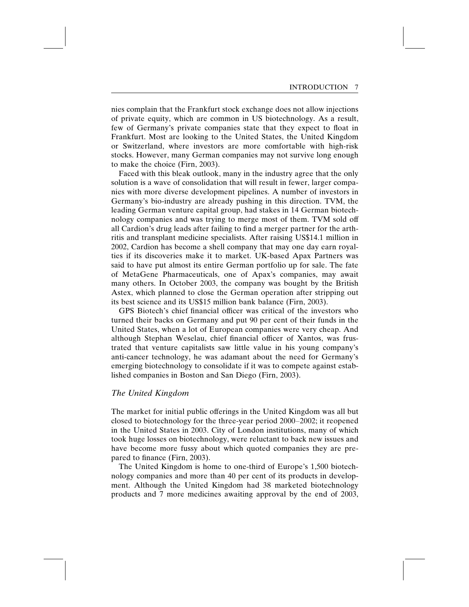nies complain that the Frankfurt stock exchange does not allow injections of private equity, which are common in US biotechnology. As a result, few of Germany's private companies state that they expect to float in Frankfurt. Most are looking to the United States, the United Kingdom or Switzerland, where investors are more comfortable with high-risk stocks. However, many German companies may not survive long enough to make the choice (Firn, 2003).

Faced with this bleak outlook, many in the industry agree that the only solution is a wave of consolidation that will result in fewer, larger companies with more diverse development pipelines. A number of investors in Germany's bio-industry are already pushing in this direction. TVM, the leading German venture capital group, had stakes in 14 German biotechnology companies and was trying to merge most of them. TVM sold off all Cardion's drug leads after failing to find a merger partner for the arthritis and transplant medicine specialists. After raising US\$14.1 million in 2002, Cardion has become a shell company that may one day earn royalties if its discoveries make it to market. UK-based Apax Partners was said to have put almost its entire German portfolio up for sale. The fate of MetaGene Pharmaceuticals, one of Apax's companies, may await many others. In October 2003, the company was bought by the British Astex, which planned to close the German operation after stripping out its best science and its US\$15 million bank balance (Firn, 2003).

GPS Biotech's chief financial officer was critical of the investors who turned their backs on Germany and put 90 per cent of their funds in the United States, when a lot of European companies were very cheap. And although Stephan Weselau, chief financial officer of Xantos, was frustrated that venture capitalists saw little value in his young company's anti-cancer technology, he was adamant about the need for Germany's emerging biotechnology to consolidate if it was to compete against established companies in Boston and San Diego (Firn, 2003).

#### The United Kingdom

The market for initial public offerings in the United Kingdom was all but closed to biotechnology for the three-year period 2000–2002; it reopened in the United States in 2003. City of London institutions, many of which took huge losses on biotechnology, were reluctant to back new issues and have become more fussy about which quoted companies they are prepared to finance (Firn, 2003).

The United Kingdom is home to one-third of Europe's 1,500 biotechnology companies and more than 40 per cent of its products in development. Although the United Kingdom had 38 marketed biotechnology products and 7 more medicines awaiting approval by the end of 2003,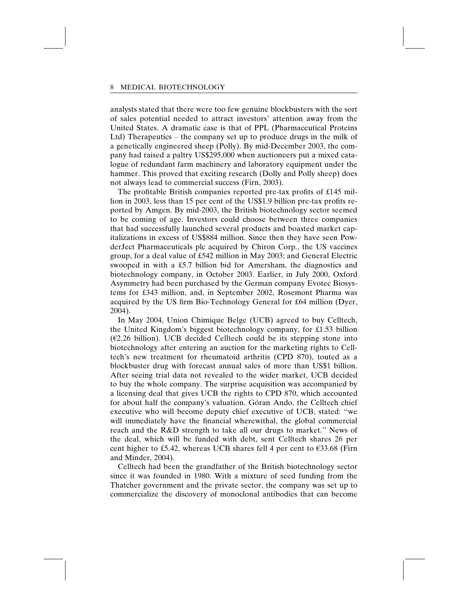analysts stated that there were too few genuine blockbusters with the sort of sales potential needed to attract investors' attention away from the United States. A dramatic case is that of PPL (Pharmaceutical Proteins Ltd) Therapeutics – the company set up to produce drugs in the milk of a genetically engineered sheep (Polly). By mid-December 2003, the company had raised a paltry US\$295,000 when auctioneers put a mixed catalogue of redundant farm machinery and laboratory equipment under the hammer. This proved that exciting research (Dolly and Polly sheep) does not always lead to commercial success (Firn, 2003).

The profitable British companies reported pre-tax profits of £145 million in 2003, less than 15 per cent of the US\$1.9 billion pre-tax profits reported by Amgen. By mid-2003, the British biotechnology sector seemed to be coming of age. Investors could choose between three companies that had successfully launched several products and boasted market capitalizations in excess of US\$884 million. Since then they have seen PowderJect Pharmaceuticals plc acquired by Chiron Corp., the US vaccines group, for a deal value of £542 million in May 2003; and General Electric swooped in with a £5.7 billion bid for Amersham, the diagnostics and biotechnology company, in October 2003. Earlier, in July 2000, Oxford Asymmetry had been purchased by the German company Evotec Biosystems for £343 million, and, in September 2002, Rosemont Pharma was acquired by the US firm Bio-Technology General for £64 million (Dyer, 2004).

In May 2004, Union Chimique Belge (UCB) agreed to buy Celltech, the United Kingdom's biggest biotechnology company, for £1.53 billion  $(E2.26 \text{ billion})$ . UCB decided Celltech could be its stepping stone into biotechnology after entering an auction for the marketing rights to Celltech's new treatment for rheumatoid arthritis (CPD 870), touted as a blockbuster drug with forecast annual sales of more than US\$1 billion. After seeing trial data not revealed to the wider market, UCB decided to buy the whole company. The surprise acquisition was accompanied by a licensing deal that gives UCB the rights to CPD 870, which accounted for about half the company's valuation. Göran Ando, the Celltech chief executive who will become deputy chief executive of UCB, stated: ''we will immediately have the financial wherewithal, the global commercial reach and the R&D strength to take all our drugs to market.'' News of the deal, which will be funded with debt, sent Celltech shares 26 per cent higher to £5.42, whereas UCB shares fell 4 per cent to  $\epsilon$ 33.68 (Firn and Minder, 2004).

Celltech had been the grandfather of the British biotechnology sector since it was founded in 1980. With a mixture of seed funding from the Thatcher government and the private sector, the company was set up to commercialize the discovery of monoclonal antibodies that can become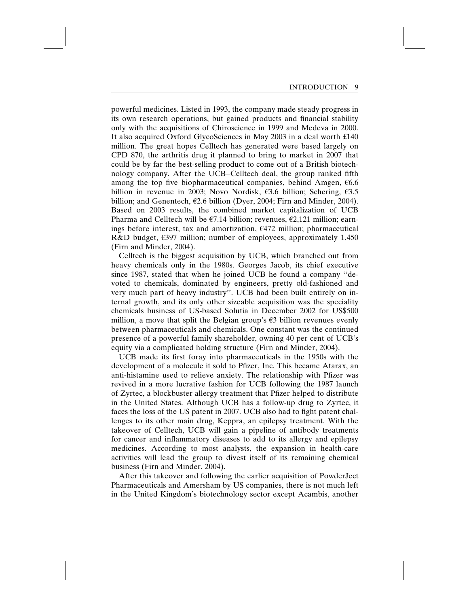powerful medicines. Listed in 1993, the company made steady progress in its own research operations, but gained products and financial stability only with the acquisitions of Chiroscience in 1999 and Medeva in 2000. It also acquired Oxford GlycoSciences in May 2003 in a deal worth £140 million. The great hopes Celltech has generated were based largely on CPD 870, the arthritis drug it planned to bring to market in 2007 that could be by far the best-selling product to come out of a British biotechnology company. After the UCB–Celltech deal, the group ranked fifth among the top five biopharmaceutical companies, behind Amgen,  $66.6$ billion in revenue in 2003; Novo Nordisk,  $\epsilon$ 3.6 billion; Schering,  $\epsilon$ 3.5 billion; and Genentech,  $\epsilon$ 2.6 billion (Dyer, 2004; Firn and Minder, 2004). Based on 2003 results, the combined market capitalization of UCB Pharma and Celltech will be  $\epsilon$ 7.14 billion; revenues,  $\epsilon$ 2,121 million; earnings before interest, tax and amortization,  $\epsilon$ 472 million; pharmaceutical R&D budget,  $\epsilon$ 397 million; number of employees, approximately 1,450 (Firn and Minder, 2004).

Celltech is the biggest acquisition by UCB, which branched out from heavy chemicals only in the 1980s. Georges Jacob, its chief executive since 1987, stated that when he joined UCB he found a company ''devoted to chemicals, dominated by engineers, pretty old-fashioned and very much part of heavy industry''. UCB had been built entirely on internal growth, and its only other sizeable acquisition was the speciality chemicals business of US-based Solutia in December 2002 for US\$500 million, a move that split the Belgian group's  $\epsilon$ 3 billion revenues evenly between pharmaceuticals and chemicals. One constant was the continued presence of a powerful family shareholder, owning 40 per cent of UCB's equity via a complicated holding structure (Firn and Minder, 2004).

UCB made its first foray into pharmaceuticals in the 1950s with the development of a molecule it sold to Pfizer, Inc. This became Atarax, an anti-histamine used to relieve anxiety. The relationship with Pfizer was revived in a more lucrative fashion for UCB following the 1987 launch of Zyrtec, a blockbuster allergy treatment that Pfizer helped to distribute in the United States. Although UCB has a follow-up drug to Zyrtec, it faces the loss of the US patent in 2007. UCB also had to fight patent challenges to its other main drug, Keppra, an epilepsy treatment. With the takeover of Celltech, UCB will gain a pipeline of antibody treatments for cancer and inflammatory diseases to add to its allergy and epilepsy medicines. According to most analysts, the expansion in health-care activities will lead the group to divest itself of its remaining chemical business (Firn and Minder, 2004).

After this takeover and following the earlier acquisition of PowderJect Pharmaceuticals and Amersham by US companies, there is not much left in the United Kingdom's biotechnology sector except Acambis, another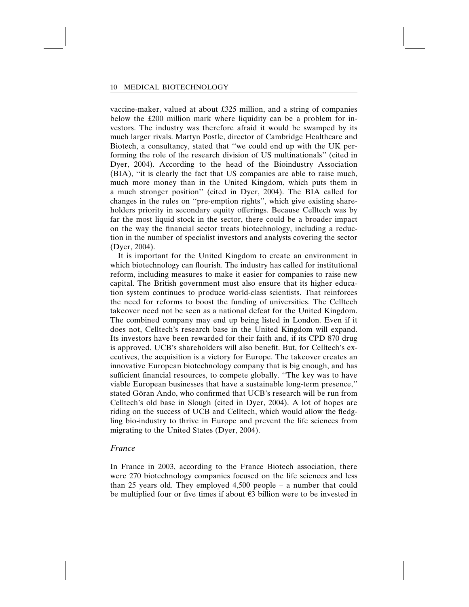vaccine-maker, valued at about £325 million, and a string of companies below the £200 million mark where liquidity can be a problem for investors. The industry was therefore afraid it would be swamped by its much larger rivals. Martyn Postle, director of Cambridge Healthcare and Biotech, a consultancy, stated that ''we could end up with the UK performing the role of the research division of US multinationals'' (cited in Dyer, 2004). According to the head of the Bioindustry Association (BIA), ''it is clearly the fact that US companies are able to raise much, much more money than in the United Kingdom, which puts them in a much stronger position'' (cited in Dyer, 2004). The BIA called for changes in the rules on ''pre-emption rights'', which give existing shareholders priority in secondary equity offerings. Because Celltech was by far the most liquid stock in the sector, there could be a broader impact on the way the financial sector treats biotechnology, including a reduction in the number of specialist investors and analysts covering the sector (Dyer, 2004).

It is important for the United Kingdom to create an environment in which biotechnology can flourish. The industry has called for institutional reform, including measures to make it easier for companies to raise new capital. The British government must also ensure that its higher education system continues to produce world-class scientists. That reinforces the need for reforms to boost the funding of universities. The Celltech takeover need not be seen as a national defeat for the United Kingdom. The combined company may end up being listed in London. Even if it does not, Celltech's research base in the United Kingdom will expand. Its investors have been rewarded for their faith and, if its CPD 870 drug is approved, UCB's shareholders will also benefit. But, for Celltech's executives, the acquisition is a victory for Europe. The takeover creates an innovative European biotechnology company that is big enough, and has sufficient financial resources, to compete globally. ''The key was to have viable European businesses that have a sustainable long-term presence,'' stated Göran Ando, who confirmed that UCB's research will be run from Celltech's old base in Slough (cited in Dyer, 2004). A lot of hopes are riding on the success of UCB and Celltech, which would allow the fledgling bio-industry to thrive in Europe and prevent the life sciences from migrating to the United States (Dyer, 2004).

#### France

In France in 2003, according to the France Biotech association, there were 270 biotechnology companies focused on the life sciences and less than 25 years old. They employed 4,500 people – a number that could be multiplied four or five times if about  $\epsilon$ 3 billion were to be invested in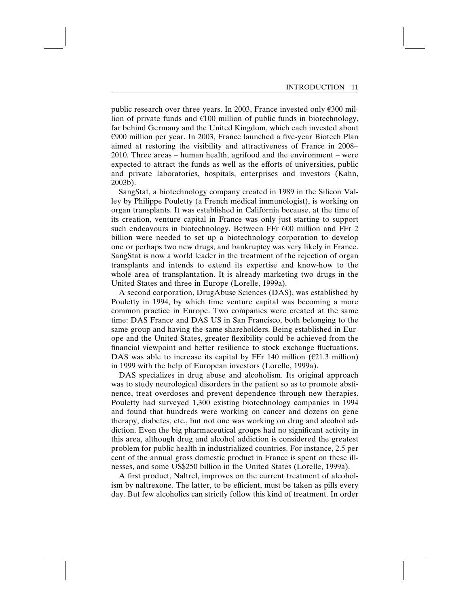public research over three years. In 2003, France invested only  $\epsilon$ 300 million of private funds and  $\epsilon$ 100 million of public funds in biotechnology, far behind Germany and the United Kingdom, which each invested about  $\epsilon$ 900 million per year. In 2003, France launched a five-year Biotech Plan aimed at restoring the visibility and attractiveness of France in 2008– 2010. Three areas – human health, agrifood and the environment – were expected to attract the funds as well as the efforts of universities, public and private laboratories, hospitals, enterprises and investors (Kahn, 2003b).

SangStat, a biotechnology company created in 1989 in the Silicon Valley by Philippe Pouletty (a French medical immunologist), is working on organ transplants. It was established in California because, at the time of its creation, venture capital in France was only just starting to support such endeavours in biotechnology. Between FFr 600 million and FFr 2 billion were needed to set up a biotechnology corporation to develop one or perhaps two new drugs, and bankruptcy was very likely in France. SangStat is now a world leader in the treatment of the rejection of organ transplants and intends to extend its expertise and know-how to the whole area of transplantation. It is already marketing two drugs in the United States and three in Europe (Lorelle, 1999a).

A second corporation, DrugAbuse Sciences (DAS), was established by Pouletty in 1994, by which time venture capital was becoming a more common practice in Europe. Two companies were created at the same time: DAS France and DAS US in San Francisco, both belonging to the same group and having the same shareholders. Being established in Europe and the United States, greater flexibility could be achieved from the financial viewpoint and better resilience to stock exchange fluctuations. DAS was able to increase its capital by FFr 140 million ( $\epsilon$ 21.3 million) in 1999 with the help of European investors (Lorelle, 1999a).

DAS specializes in drug abuse and alcoholism. Its original approach was to study neurological disorders in the patient so as to promote abstinence, treat overdoses and prevent dependence through new therapies. Pouletty had surveyed 1,300 existing biotechnology companies in 1994 and found that hundreds were working on cancer and dozens on gene therapy, diabetes, etc., but not one was working on drug and alcohol addiction. Even the big pharmaceutical groups had no significant activity in this area, although drug and alcohol addiction is considered the greatest problem for public health in industrialized countries. For instance, 2.5 per cent of the annual gross domestic product in France is spent on these illnesses, and some US\$250 billion in the United States (Lorelle, 1999a).

A first product, Naltrel, improves on the current treatment of alcoholism by naltrexone. The latter, to be efficient, must be taken as pills every day. But few alcoholics can strictly follow this kind of treatment. In order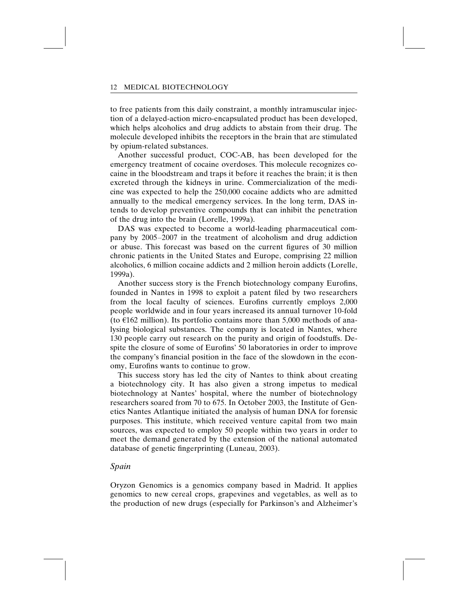to free patients from this daily constraint, a monthly intramuscular injection of a delayed-action micro-encapsulated product has been developed, which helps alcoholics and drug addicts to abstain from their drug. The molecule developed inhibits the receptors in the brain that are stimulated by opium-related substances.

Another successful product, COC-AB, has been developed for the emergency treatment of cocaine overdoses. This molecule recognizes cocaine in the bloodstream and traps it before it reaches the brain; it is then excreted through the kidneys in urine. Commercialization of the medicine was expected to help the 250,000 cocaine addicts who are admitted annually to the medical emergency services. In the long term, DAS intends to develop preventive compounds that can inhibit the penetration of the drug into the brain (Lorelle, 1999a).

DAS was expected to become a world-leading pharmaceutical company by 2005–2007 in the treatment of alcoholism and drug addiction or abuse. This forecast was based on the current figures of 30 million chronic patients in the United States and Europe, comprising 22 million alcoholics, 6 million cocaine addicts and 2 million heroin addicts (Lorelle, 1999a).

Another success story is the French biotechnology company Eurofins, founded in Nantes in 1998 to exploit a patent filed by two researchers from the local faculty of sciences. Eurofins currently employs 2,000 people worldwide and in four years increased its annual turnover 10-fold (to  $E162$  million). Its portfolio contains more than 5,000 methods of analysing biological substances. The company is located in Nantes, where 130 people carry out research on the purity and origin of foodstuffs. Despite the closure of some of Eurofins' 50 laboratories in order to improve the company's financial position in the face of the slowdown in the economy, Eurofins wants to continue to grow.

This success story has led the city of Nantes to think about creating a biotechnology city. It has also given a strong impetus to medical biotechnology at Nantes' hospital, where the number of biotechnology researchers soared from 70 to 675. In October 2003, the Institute of Genetics Nantes Atlantique initiated the analysis of human DNA for forensic purposes. This institute, which received venture capital from two main sources, was expected to employ 50 people within two years in order to meet the demand generated by the extension of the national automated database of genetic fingerprinting (Luneau, 2003).

#### Spain

Oryzon Genomics is a genomics company based in Madrid. It applies genomics to new cereal crops, grapevines and vegetables, as well as to the production of new drugs (especially for Parkinson's and Alzheimer's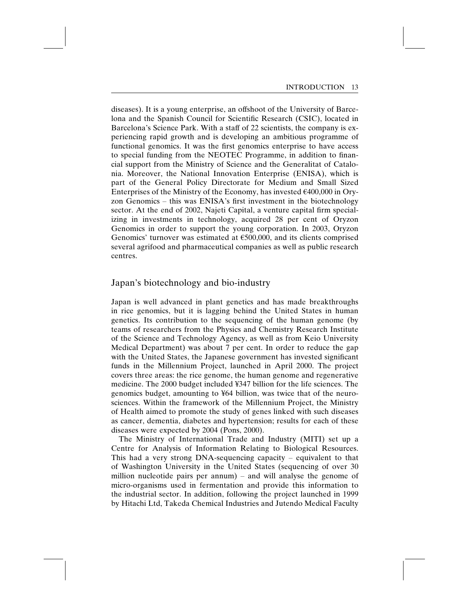diseases). It is a young enterprise, an offshoot of the University of Barcelona and the Spanish Council for Scientific Research (CSIC), located in Barcelona's Science Park. With a staff of 22 scientists, the company is experiencing rapid growth and is developing an ambitious programme of functional genomics. It was the first genomics enterprise to have access to special funding from the NEOTEC Programme, in addition to financial support from the Ministry of Science and the Generalitat of Catalonia. Moreover, the National Innovation Enterprise (ENISA), which is part of the General Policy Directorate for Medium and Small Sized Enterprises of the Ministry of the Economy, has invested  $\epsilon$ 400,000 in Oryzon Genomics – this was ENISA's first investment in the biotechnology sector. At the end of 2002, Najeti Capital, a venture capital firm specializing in investments in technology, acquired 28 per cent of Oryzon Genomics in order to support the young corporation. In 2003, Oryzon Genomics' turnover was estimated at  $E$ 500,000, and its clients comprised several agrifood and pharmaceutical companies as well as public research centres.

#### Japan's biotechnology and bio-industry

Japan is well advanced in plant genetics and has made breakthroughs in rice genomics, but it is lagging behind the United States in human genetics. Its contribution to the sequencing of the human genome (by teams of researchers from the Physics and Chemistry Research Institute of the Science and Technology Agency, as well as from Keio University Medical Department) was about 7 per cent. In order to reduce the gap with the United States, the Japanese government has invested significant funds in the Millennium Project, launched in April 2000. The project covers three areas: the rice genome, the human genome and regenerative medicine. The 2000 budget included ¥347 billion for the life sciences. The genomics budget, amounting to ¥64 billion, was twice that of the neurosciences. Within the framework of the Millennium Project, the Ministry of Health aimed to promote the study of genes linked with such diseases as cancer, dementia, diabetes and hypertension; results for each of these diseases were expected by 2004 (Pons, 2000).

The Ministry of International Trade and Industry (MITI) set up a Centre for Analysis of Information Relating to Biological Resources. This had a very strong DNA-sequencing capacity – equivalent to that of Washington University in the United States (sequencing of over 30 million nucleotide pairs per annum) – and will analyse the genome of micro-organisms used in fermentation and provide this information to the industrial sector. In addition, following the project launched in 1999 by Hitachi Ltd, Takeda Chemical Industries and Jutendo Medical Faculty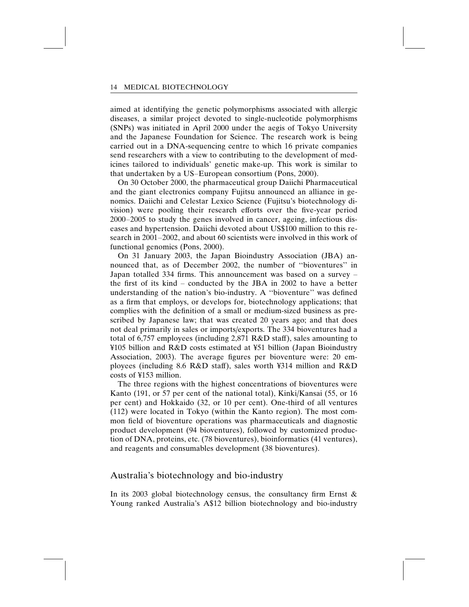aimed at identifying the genetic polymorphisms associated with allergic diseases, a similar project devoted to single-nucleotide polymorphisms (SNPs) was initiated in April 2000 under the aegis of Tokyo University and the Japanese Foundation for Science. The research work is being carried out in a DNA-sequencing centre to which 16 private companies send researchers with a view to contributing to the development of medicines tailored to individuals' genetic make-up. This work is similar to that undertaken by a US–European consortium (Pons, 2000).

On 30 October 2000, the pharmaceutical group Daiichi Pharmaceutical and the giant electronics company Fujitsu announced an alliance in genomics. Daiichi and Celestar Lexico Science (Fujitsu's biotechnology division) were pooling their research efforts over the five-year period 2000–2005 to study the genes involved in cancer, ageing, infectious diseases and hypertension. Daiichi devoted about US\$100 million to this research in 2001–2002, and about 60 scientists were involved in this work of functional genomics (Pons, 2000).

On 31 January 2003, the Japan Bioindustry Association (JBA) announced that, as of December 2002, the number of ''bioventures'' in Japan totalled 334 firms. This announcement was based on a survey – the first of its kind – conducted by the JBA in 2002 to have a better understanding of the nation's bio-industry. A ''bioventure'' was defined as a firm that employs, or develops for, biotechnology applications; that complies with the definition of a small or medium-sized business as prescribed by Japanese law; that was created 20 years ago; and that does not deal primarily in sales or imports/exports. The 334 bioventures had a total of 6,757 employees (including 2,871 R&D staff), sales amounting to ¥105 billion and R&D costs estimated at ¥51 billion (Japan Bioindustry Association, 2003). The average figures per bioventure were: 20 employees (including 8.6 R&D staff), sales worth ¥314 million and R&D costs of ¥153 million.

The three regions with the highest concentrations of bioventures were Kanto (191, or 57 per cent of the national total), Kinki/Kansai (55, or 16 per cent) and Hokkaido (32, or 10 per cent). One-third of all ventures (112) were located in Tokyo (within the Kanto region). The most common field of bioventure operations was pharmaceuticals and diagnostic product development (94 bioventures), followed by customized production of DNA, proteins, etc. (78 bioventures), bioinformatics (41 ventures), and reagents and consumables development (38 bioventures).

### Australia's biotechnology and bio-industry

In its 2003 global biotechnology census, the consultancy firm Ernst & Young ranked Australia's A\$12 billion biotechnology and bio-industry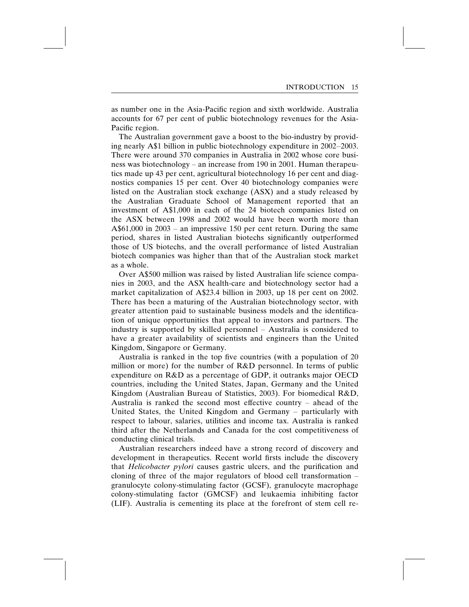as number one in the Asia-Pacific region and sixth worldwide. Australia accounts for 67 per cent of public biotechnology revenues for the Asia-Pacific region.

The Australian government gave a boost to the bio-industry by providing nearly A\$1 billion in public biotechnology expenditure in 2002–2003. There were around 370 companies in Australia in 2002 whose core business was biotechnology – an increase from 190 in 2001. Human therapeutics made up 43 per cent, agricultural biotechnology 16 per cent and diagnostics companies 15 per cent. Over 40 biotechnology companies were listed on the Australian stock exchange (ASX) and a study released by the Australian Graduate School of Management reported that an investment of A\$1,000 in each of the 24 biotech companies listed on the ASX between 1998 and 2002 would have been worth more than A\$61,000 in 2003 – an impressive 150 per cent return. During the same period, shares in listed Australian biotechs significantly outperformed those of US biotechs, and the overall performance of listed Australian biotech companies was higher than that of the Australian stock market as a whole.

Over A\$500 million was raised by listed Australian life science companies in 2003, and the ASX health-care and biotechnology sector had a market capitalization of A\$23.4 billion in 2003, up 18 per cent on 2002. There has been a maturing of the Australian biotechnology sector, with greater attention paid to sustainable business models and the identification of unique opportunities that appeal to investors and partners. The industry is supported by skilled personnel – Australia is considered to have a greater availability of scientists and engineers than the United Kingdom, Singapore or Germany.

Australia is ranked in the top five countries (with a population of 20 million or more) for the number of R&D personnel. In terms of public expenditure on R&D as a percentage of GDP, it outranks major OECD countries, including the United States, Japan, Germany and the United Kingdom (Australian Bureau of Statistics, 2003). For biomedical R&D, Australia is ranked the second most effective country – ahead of the United States, the United Kingdom and Germany – particularly with respect to labour, salaries, utilities and income tax. Australia is ranked third after the Netherlands and Canada for the cost competitiveness of conducting clinical trials.

Australian researchers indeed have a strong record of discovery and development in therapeutics. Recent world firsts include the discovery that Helicobacter pylori causes gastric ulcers, and the purification and cloning of three of the major regulators of blood cell transformation – granulocyte colony-stimulating factor (GCSF), granulocyte macrophage colony-stimulating factor (GMCSF) and leukaemia inhibiting factor (LIF). Australia is cementing its place at the forefront of stem cell re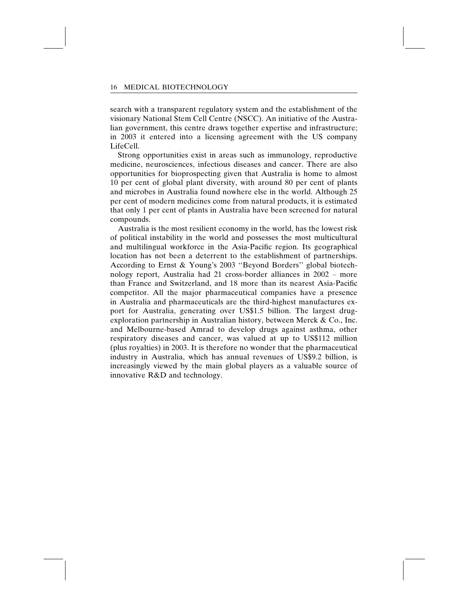search with a transparent regulatory system and the establishment of the visionary National Stem Cell Centre (NSCC). An initiative of the Australian government, this centre draws together expertise and infrastructure; in 2003 it entered into a licensing agreement with the US company LifeCell.

Strong opportunities exist in areas such as immunology, reproductive medicine, neurosciences, infectious diseases and cancer. There are also opportunities for bioprospecting given that Australia is home to almost 10 per cent of global plant diversity, with around 80 per cent of plants and microbes in Australia found nowhere else in the world. Although 25 per cent of modern medicines come from natural products, it is estimated that only 1 per cent of plants in Australia have been screened for natural compounds.

Australia is the most resilient economy in the world, has the lowest risk of political instability in the world and possesses the most multicultural and multilingual workforce in the Asia-Pacific region. Its geographical location has not been a deterrent to the establishment of partnerships. According to Ernst & Young's 2003 ''Beyond Borders'' global biotechnology report, Australia had 21 cross-border alliances in 2002 – more than France and Switzerland, and 18 more than its nearest Asia-Pacific competitor. All the major pharmaceutical companies have a presence in Australia and pharmaceuticals are the third-highest manufactures export for Australia, generating over US\$1.5 billion. The largest drugexploration partnership in Australian history, between Merck & Co., Inc. and Melbourne-based Amrad to develop drugs against asthma, other respiratory diseases and cancer, was valued at up to US\$112 million (plus royalties) in 2003. It is therefore no wonder that the pharmaceutical industry in Australia, which has annual revenues of US\$9.2 billion, is increasingly viewed by the main global players as a valuable source of innovative R&D and technology.